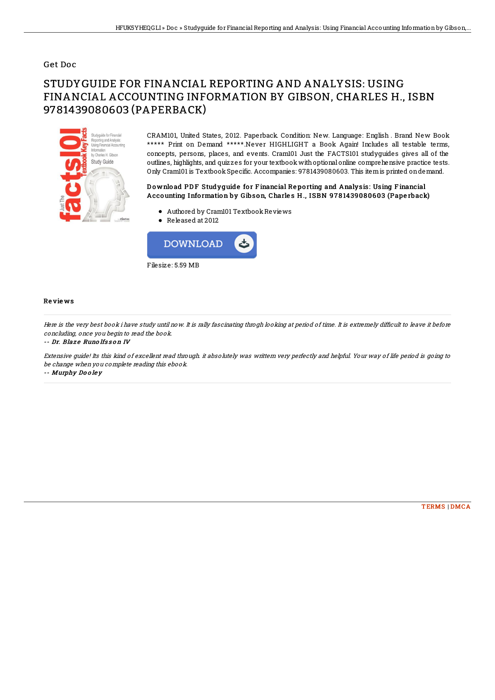### Get Doc

# STUDYGUIDE FOR FINANCIAL REPORTING AND ANALYSIS: USING FINANCIAL ACCOUNTING INFORMATION BY GIBSON, CHARLES H., ISBN 9781439080603 (PAPERBACK)



CRAM101, United States, 2012. Paperback. Condition: New. Language: English . Brand New Book \*\*\*\*\* Print on Demand \*\*\*\*\*.Never HIGHLIGHT a Book Again! Includes all testable terms, concepts, persons, places, and events. Cram101 Just the FACTS101 studyguides gives all of the outlines, highlights, and quizzes for your textbook withoptional online comprehensive practice tests. Only Cram101 is TextbookSpecific. Accompanies: 9781439080603. This itemis printed ondemand.

#### Download PDF Studyguide for Financial Reporting and Analysis: Using Financial Accounting Information by Gibson, Charles H., ISBN 9781439080603 (Paperback)

- Authored by Cram101 TextbookReviews
- Released at 2012



#### Re vie ws

Here is the very best book i have study until now. It is rally fascinating throgh looking at period of time. It is extremely difficult to leave it before concluding, once you begin to read the book.

-- Dr. Blaze Runolfsson IV

Extensive guide! Its this kind of excellent read through. it absolutely was writtern very perfectly and helpful. Your way of life period is going to be change when you complete reading this ebook.

-- Murphy Do <sup>o</sup> le y